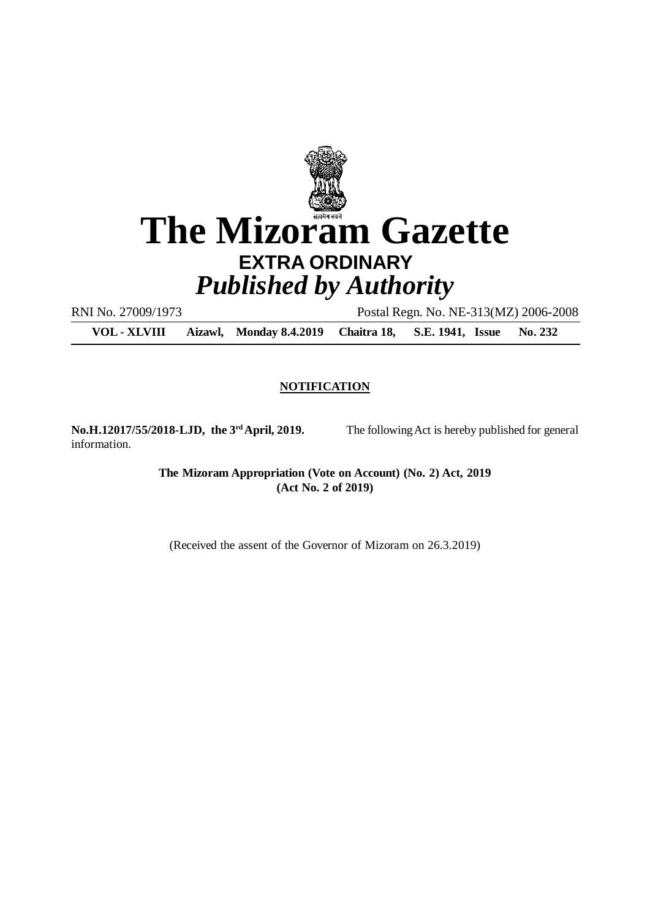

# **EXTRA ORDINARY** *Published by Authority*

RNI No. 27009/1973 Postal Regn. No. NE-313(MZ) 2006-2008

**VOL - XLVIII Aizawl, Monday 8.4.2019 Chaitra 18, S.E. 1941, Issue No. 232**

#### **NOTIFICATION**

information.

**No.H.12017/55/2018-LJD, the 3rdApril, 2019.** The following Act is hereby published for general

**The Mizoram Appropriation (Vote on Account) (No. 2) Act, 2019 (Act No. 2 of 2019)**

(Received the assent of the Governor of Mizoram on 26.3.2019)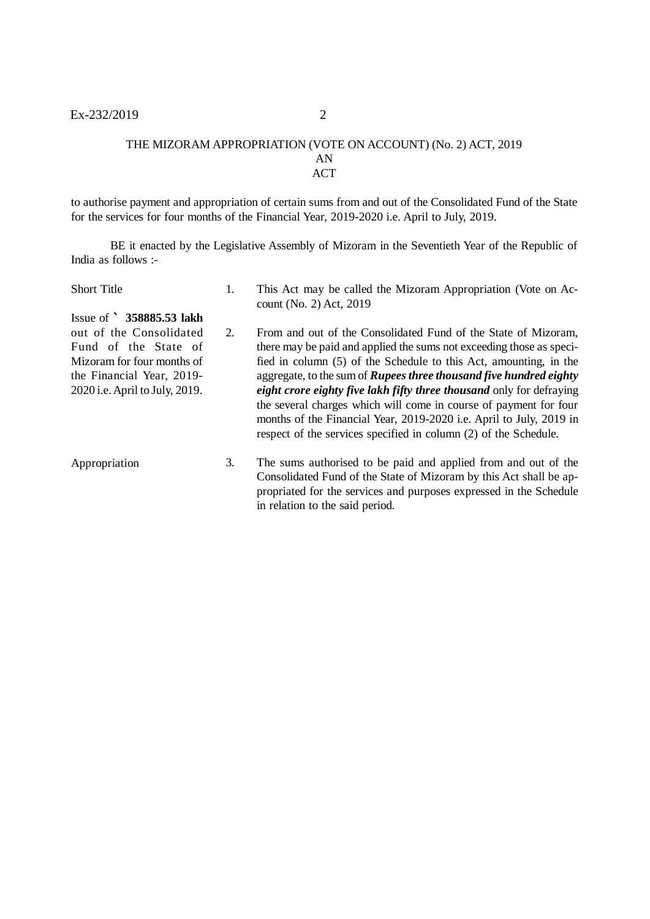#### THE MIZORAM APPROPRIATION (VOTE ON ACCOUNT) (No. 2) ACT, 2019 AN ACT

to authorise payment and appropriation of certain sums from and out of the Consolidated Fund of the State for the services for four months of the Financial Year, 2019-2020 i.e. April to July, 2019.

BE it enacted by the Legislative Assembly of Mizoram in the Seventieth Year of the Republic of India as follows :-

| <b>Short Title</b>                                                                                                                           | 1. | This Act may be called the Mizoram Appropriation (Vote on Ac-<br>count (No. 2) Act, 2019                                                                                                                                                                                                                                                                                                                                                                                                                                                                                         |
|----------------------------------------------------------------------------------------------------------------------------------------------|----|----------------------------------------------------------------------------------------------------------------------------------------------------------------------------------------------------------------------------------------------------------------------------------------------------------------------------------------------------------------------------------------------------------------------------------------------------------------------------------------------------------------------------------------------------------------------------------|
| Issue of $\degree$ 358885.53 lakh                                                                                                            |    |                                                                                                                                                                                                                                                                                                                                                                                                                                                                                                                                                                                  |
| out of the Consolidated<br>Fund of the State of<br>Mizoram for four months of<br>the Financial Year, 2019-<br>2020 i.e. April to July, 2019. | 2. | From and out of the Consolidated Fund of the State of Mizoram,<br>there may be paid and applied the sums not exceeding those as speci-<br>fied in column (5) of the Schedule to this Act, amounting, in the<br>aggregate, to the sum of <b>Rupees three thousand five hundred eighty</b><br>eight crore eighty five lakh fifty three thousand only for defraying<br>the several charges which will come in course of payment for four<br>months of the Financial Year, 2019-2020 i.e. April to July, 2019 in<br>respect of the services specified in column (2) of the Schedule. |
| Appropriation                                                                                                                                | 3. | The sums authorised to be paid and applied from and out of the<br>Consolidated Fund of the State of Mizoram by this Act shall be ap-<br>propriated for the services and purposes expressed in the Schedule<br>in relation to the said period.                                                                                                                                                                                                                                                                                                                                    |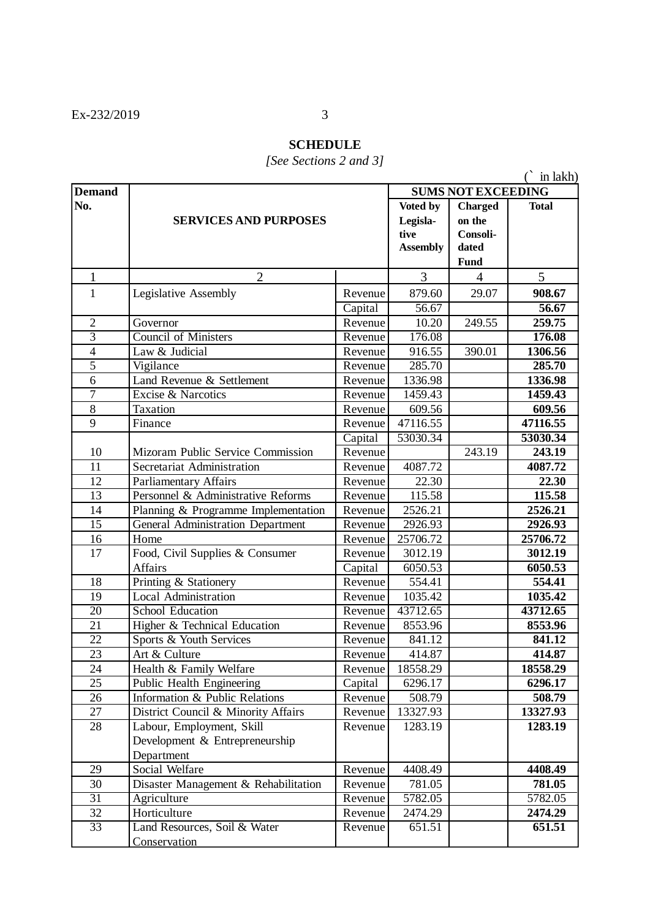### **SCHEDULE**

### *[See Sections 2 and 3]*

(` in lakh)

| <b>Demand</b>   |                                                              |                       | <b>SUMS NOT EXCEEDING</b> |                |                   |  |
|-----------------|--------------------------------------------------------------|-----------------------|---------------------------|----------------|-------------------|--|
| No.             |                                                              | Voted by              | <b>Charged</b>            | <b>Total</b>   |                   |  |
|                 | <b>SERVICES AND PURPOSES</b>                                 | Legisla-              | on the                    |                |                   |  |
|                 |                                                              | tive                  | Consoli-                  |                |                   |  |
|                 |                                                              |                       | <b>Assembly</b>           | dated          |                   |  |
|                 |                                                              |                       | <b>Fund</b>               |                |                   |  |
| $\mathbf{1}$    | $\overline{2}$                                               |                       | 3                         | $\overline{4}$ | 5                 |  |
| $\mathbf{1}$    | Legislative Assembly                                         | Revenue               | 879.60                    | 29.07          | 908.67            |  |
|                 |                                                              | Capital               | 56.67                     |                | 56.67             |  |
| $\overline{2}$  | Governor                                                     | Revenue               | 10.20                     | 249.55         | 259.75            |  |
| $\overline{3}$  | <b>Council of Ministers</b>                                  | Revenue               | 176.08                    |                | 176.08            |  |
| $\overline{4}$  | Law & Judicial                                               | Revenue               | 916.55                    | 390.01         | 1306.56           |  |
| $\overline{5}$  | Vigilance                                                    | Revenue               | 285.70                    |                | 285.70            |  |
| 6               | Land Revenue & Settlement                                    | Revenue               | 1336.98                   |                | 1336.98           |  |
| $\overline{7}$  | Excise & Narcotics                                           | Revenue               | 1459.43                   |                | 1459.43           |  |
| 8               | Taxation                                                     | Revenue               | 609.56                    |                | 609.56            |  |
| 9               | Finance                                                      | Revenue               | 47116.55                  |                | 47116.55          |  |
|                 |                                                              | Capital               | 53030.34                  |                | 53030.34          |  |
| 10              | Mizoram Public Service Commission                            | Revenue               |                           | 243.19         | 243.19            |  |
| 11              | Secretariat Administration                                   | Revenue               | 4087.72                   |                | 4087.72           |  |
| 12              | <b>Parliamentary Affairs</b>                                 | Revenue               | 22.30                     |                | 22.30             |  |
| 13              | Personnel & Administrative Reforms                           | Revenue               | 115.58                    |                | 115.58            |  |
| 14              | Planning & Programme Implementation                          | Revenue               | 2526.21                   |                | 2526.21           |  |
| $\overline{15}$ | General Administration Department                            | Revenue               | 2926.93                   |                | 2926.93           |  |
| 16              | Home                                                         | Revenue               | 25706.72                  |                | 25706.72          |  |
| 17              | Food, Civil Supplies & Consumer                              | Revenue               | 3012.19                   |                | 3012.19           |  |
|                 | Affairs                                                      | $\overline{C}$ apital | 6050.53                   |                | 6050.53           |  |
| 18              | Printing & Stationery                                        | Revenue               | 554.41                    |                | 554.41            |  |
| 19              | <b>Local Administration</b>                                  | Revenue               | 1035.42                   |                | 1035.42           |  |
| $\overline{20}$ | School Education                                             | Revenue               | 43712.65                  |                | 43712.65          |  |
| $\overline{21}$ | Higher & Technical Education                                 | Revenue               | 8553.96                   |                | 8553.96           |  |
| 22              | Sports & Youth Services                                      | Revenue               | 841.12                    |                | 841.12            |  |
| 23              | Art & Culture                                                | Revenue               | 414.87                    |                | 414.87            |  |
| 24              | Health & Family Welfare                                      | Revenue               | 18558.29                  |                | 18558.29          |  |
| 25              | Public Health Engineering                                    | Capital               | 6296.17                   |                | 6296.17           |  |
| 26              | Information & Public Relations                               | Revenue               | 508.79                    |                | 508.79            |  |
| 27              | District Council & Minority Affairs                          | Revenue               | 13327.93                  |                | 13327.93          |  |
| 28              | Labour, Employment, Skill                                    | Revenue               | 1283.19                   |                | 1283.19           |  |
|                 | Development & Entrepreneurship                               |                       |                           |                |                   |  |
|                 | Department                                                   |                       |                           |                |                   |  |
| 29              | Social Welfare                                               | Revenue               | 4408.49                   |                | 4408.49           |  |
| 30              | Disaster Management & Rehabilitation                         | Revenue               | 781.05                    |                | 781.05            |  |
| 31              | Agriculture                                                  | Revenue               | 5782.05                   |                | 5782.05           |  |
|                 |                                                              |                       |                           |                |                   |  |
|                 |                                                              |                       |                           |                |                   |  |
|                 |                                                              |                       |                           |                |                   |  |
| 32<br>33        | Horticulture<br>Land Resources, Soil & Water<br>Conservation | Revenue<br>Revenue    | 2474.29<br>651.51         |                | 2474.29<br>651.51 |  |